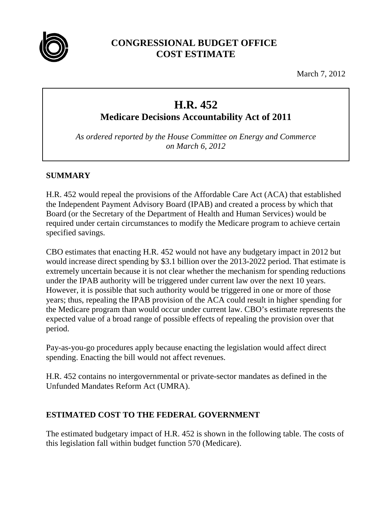

## **CONGRESSIONAL BUDGET OFFICE COST ESTIMATE**

March 7, 2012

# **H.R. 452**

**Medicare Decisions Accountability Act of 2011**

*As ordered reported by the House Committee on Energy and Commerce on March 6, 2012*

## **SUMMARY**

H.R. 452 would repeal the provisions of the Affordable Care Act (ACA) that established the Independent Payment Advisory Board (IPAB) and created a process by which that Board (or the Secretary of the Department of Health and Human Services) would be required under certain circumstances to modify the Medicare program to achieve certain specified savings.

CBO estimates that enacting H.R. 452 would not have any budgetary impact in 2012 but would increase direct spending by \$3.1 billion over the 2013-2022 period. That estimate is extremely uncertain because it is not clear whether the mechanism for spending reductions under the IPAB authority will be triggered under current law over the next 10 years. However, it is possible that such authority would be triggered in one or more of those years; thus, repealing the IPAB provision of the ACA could result in higher spending for the Medicare program than would occur under current law. CBO's estimate represents the expected value of a broad range of possible effects of repealing the provision over that period.

Pay-as-you-go procedures apply because enacting the legislation would affect direct spending. Enacting the bill would not affect revenues.

H.R. 452 contains no intergovernmental or private-sector mandates as defined in the Unfunded Mandates Reform Act (UMRA).

## **ESTIMATED COST TO THE FEDERAL GOVERNMENT**

The estimated budgetary impact of H.R. 452 is shown in the following table. The costs of this legislation fall within budget function 570 (Medicare).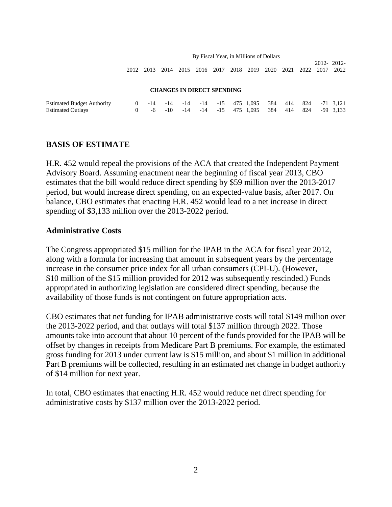|                                                               | By Fiscal Year, in Millions of Dollars |           |                  |              |                                   |                |      |                        |            |            |            |      |                            |
|---------------------------------------------------------------|----------------------------------------|-----------|------------------|--------------|-----------------------------------|----------------|------|------------------------|------------|------------|------------|------|----------------------------|
|                                                               | 2012.                                  | 2013      | 2014             | 2015         | 2016 2017                         |                | 2018 | 2019                   | 2020       | 2021       | 2022       | 2017 | 2012-2012-<br>2022         |
|                                                               |                                        |           |                  |              | <b>CHANGES IN DIRECT SPENDING</b> |                |      |                        |            |            |            |      |                            |
| <b>Estimated Budget Authority</b><br><b>Estimated Outlays</b> | $\Omega$<br>$\overline{0}$             | -14<br>-6 | -14<br>$-10^{-}$ | -14<br>$-14$ | $-14$<br>$-14$                    | $-15$<br>$-15$ |      | 475 1,095<br>475 1,095 | 384<br>384 | 414<br>414 | 824<br>824 |      | $-71$ 3.121<br>$-59$ 3,133 |

## **BASIS OF ESTIMATE**

H.R. 452 would repeal the provisions of the ACA that created the Independent Payment Advisory Board. Assuming enactment near the beginning of fiscal year 2013, CBO estimates that the bill would reduce direct spending by \$59 million over the 2013-2017 period, but would increase direct spending, on an expected-value basis, after 2017. On balance, CBO estimates that enacting H.R. 452 would lead to a net increase in direct spending of \$3,133 million over the 2013-2022 period.

#### **Administrative Costs**

The Congress appropriated \$15 million for the IPAB in the ACA for fiscal year 2012, along with a formula for increasing that amount in subsequent years by the percentage increase in the consumer price index for all urban consumers (CPI-U). (However, \$10 million of the \$15 million provided for 2012 was subsequently rescinded.) Funds appropriated in authorizing legislation are considered direct spending, because the availability of those funds is not contingent on future appropriation acts.

CBO estimates that net funding for IPAB administrative costs will total \$149 million over the 2013-2022 period, and that outlays will total \$137 million through 2022. Those amounts take into account that about 10 percent of the funds provided for the IPAB will be offset by changes in receipts from Medicare Part B premiums. For example, the estimated gross funding for 2013 under current law is \$15 million, and about \$1 million in additional Part B premiums will be collected, resulting in an estimated net change in budget authority of \$14 million for next year.

In total, CBO estimates that enacting H.R. 452 would reduce net direct spending for administrative costs by \$137 million over the 2013-2022 period.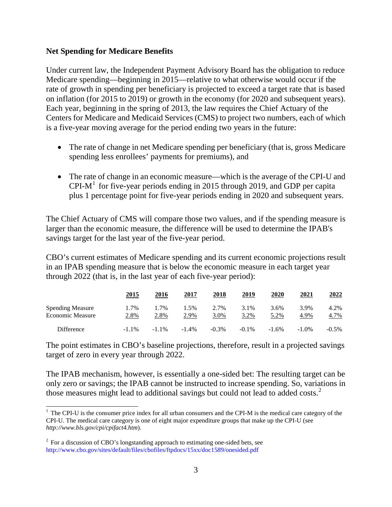#### **Net Spending for Medicare Benefits**

Under current law, the Independent Payment Advisory Board has the obligation to reduce Medicare spending—beginning in 2015—relative to what otherwise would occur if the rate of growth in spending per beneficiary is projected to exceed a target rate that is based on inflation (for 2015 to 2019) or growth in the economy (for 2020 and subsequent years). Each year, beginning in the spring of 2013, the law requires the Chief Actuary of the Centers for Medicare and Medicaid Services (CMS) to project two numbers, each of which is a five-year moving average for the period ending two years in the future:

- The rate of change in net Medicare spending per beneficiary (that is, gross Medicare spending less enrollees' payments for premiums), and
- The rate of change in an economic measure—which is the average of the CPI-U and CPI-M<sup>[1](#page-2-0)</sup> for five-year periods ending in 2015 through 2019, and GDP per capita plus 1 percentage point for five-year periods ending in 2020 and subsequent years.

The Chief Actuary of CMS will compare those two values, and if the spending measure is larger than the economic measure, the difference will be used to determine the IPAB's savings target for the last year of the five-year period.

CBO's current estimates of Medicare spending and its current economic projections result in an IPAB spending measure that is below the economic measure in each target year through 2022 (that is, in the last year of each five-year period):

|                                                    | <u>2015</u>  | 2016         | 2017            | 2018         | <u> 2019 </u> | 2020         | 2021         | <u> 2022 </u> |
|----------------------------------------------------|--------------|--------------|-----------------|--------------|---------------|--------------|--------------|---------------|
| <b>Spending Measure</b><br><b>Economic Measure</b> | 1.7%<br>2.8% | 1.7%<br>2.8% | $1.5\%$<br>2.9% | 2.7%<br>3.0% | 3.1%<br>3.2%  | 3.6%<br>5.2% | 3.9%<br>4.9% | 4.2%<br>4.7%  |
| Difference                                         | $-1.1\%$     | $-1.1\%$     | $-1.4\%$        | $-0.3\%$     | $-0.1\%$      | $-1.6\%$     | $-1.0\%$     | $-0.5\%$      |

The point estimates in CBO's baseline projections, therefore, result in a projected savings target of zero in every year through 2022.

The IPAB mechanism, however, is essentially a one-sided bet: The resulting target can be only zero or savings; the IPAB cannot be instructed to increase spending. So, variations in those measures might lead to additional savings but could not lead to added costs.<sup>[2](#page-2-1)</sup>

<span id="page-2-0"></span><sup>&</sup>lt;sup>1</sup> The CPI-U is the consumer price index for all urban consumers and the CPI-M is the medical care category of the CPI-U. The medical care category is one of eight major expenditure groups that make up the CPI-U (see *http://www.bls.gov/cpi/cpifact4.htm*).

<span id="page-2-1"></span> $2\degree$  For a discussion of CBO's longstanding approach to estimating one-sided bets, see <http://www.cbo.gov/sites/default/files/cbofiles/ftpdocs/15xx/doc1589/onesided.pdf>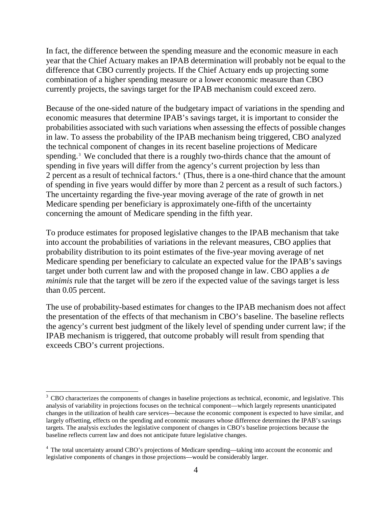In fact, the difference between the spending measure and the economic measure in each year that the Chief Actuary makes an IPAB determination will probably not be equal to the difference that CBO currently projects. If the Chief Actuary ends up projecting some combination of a higher spending measure or a lower economic measure than CBO currently projects, the savings target for the IPAB mechanism could exceed zero.

Because of the one-sided nature of the budgetary impact of variations in the spending and economic measures that determine IPAB's savings target, it is important to consider the probabilities associated with such variations when assessing the effects of possible changes in law. To assess the probability of the IPAB mechanism being triggered, CBO analyzed the technical component of changes in its recent baseline projections of Medicare spending.<sup>[3](#page-3-0)</sup> We concluded that there is a roughly two-thirds chance that the amount of spending in five years will differ from the agency's current projection by less than 2 percent as a result of technical factors.<sup>[4](#page-3-1)</sup> (Thus, there is a one-third chance that the amount of spending in five years would differ by more than 2 percent as a result of such factors.) The uncertainty regarding the five-year moving average of the rate of growth in net Medicare spending per beneficiary is approximately one-fifth of the uncertainty concerning the amount of Medicare spending in the fifth year.

To produce estimates for proposed legislative changes to the IPAB mechanism that take into account the probabilities of variations in the relevant measures, CBO applies that probability distribution to its point estimates of the five-year moving average of net Medicare spending per beneficiary to calculate an expected value for the IPAB's savings target under both current law and with the proposed change in law. CBO applies a *de minimis* rule that the target will be zero if the expected value of the savings target is less than 0.05 percent.

The use of probability-based estimates for changes to the IPAB mechanism does not affect the presentation of the effects of that mechanism in CBO's baseline. The baseline reflects the agency's current best judgment of the likely level of spending under current law; if the IPAB mechanism is triggered, that outcome probably will result from spending that exceeds CBO's current projections.

<span id="page-3-0"></span> $3$  CBO characterizes the components of changes in baseline projections as technical, economic, and legislative. This analysis of variability in projections focuses on the technical component—which largely represents unanticipated changes in the utilization of health care services—because the economic component is expected to have similar, and largely offsetting, effects on the spending and economic measures whose difference determines the IPAB's savings targets. The analysis excludes the legislative component of changes in CBO's baseline projections because the baseline reflects current law and does not anticipate future legislative changes.

<span id="page-3-1"></span><sup>&</sup>lt;sup>4</sup> The total uncertainty around CBO's projections of Medicare spending—taking into account the economic and legislative components of changes in those projections—would be considerably larger.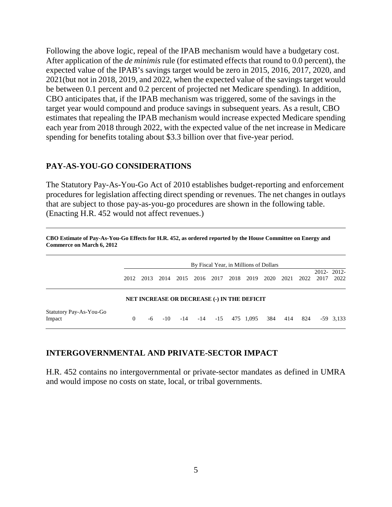Following the above logic, repeal of the IPAB mechanism would have a budgetary cost. After application of the *de minimis* rule (for estimated effects that round to 0.0 percent), the expected value of the IPAB's savings target would be zero in 2015, 2016, 2017, 2020, and 2021(but not in 2018, 2019, and 2022, when the expected value of the savings target would be between 0.1 percent and 0.2 percent of projected net Medicare spending). In addition, CBO anticipates that, if the IPAB mechanism was triggered, some of the savings in the target year would compound and produce savings in subsequent years. As a result, CBO estimates that repealing the IPAB mechanism would increase expected Medicare spending each year from 2018 through 2022, with the expected value of the net increase in Medicare spending for benefits totaling about \$3.3 billion over that five-year period.

#### **PAY-AS-YOU-GO CONSIDERATIONS**

The Statutory Pay-As-You-Go Act of 2010 establishes budget-reporting and enforcement procedures for legislation affecting direct spending or revenues. The net changes in outlays that are subject to those pay-as-you-go procedures are shown in the following table. (Enacting H.R. 452 would not affect revenues.)

|                                   | By Fiscal Year, in Millions of Dollars |      |      |           |     |                                                    |      |           |     |           |      |      |                    |
|-----------------------------------|----------------------------------------|------|------|-----------|-----|----------------------------------------------------|------|-----------|-----|-----------|------|------|--------------------|
|                                   | 2012                                   | 2013 | 2014 |           |     | 2015 2016 2017                                     | 2018 | 2019      |     | 2020 2021 | 2022 | 2017 | 2012-2012-<br>2022 |
|                                   |                                        |      |      |           |     | <b>NET INCREASE OR DECREASE (-) IN THE DEFICIT</b> |      |           |     |           |      |      |                    |
| Statutory Pay-As-You-Go<br>Impact | $\theta$                               | -6   |      | $-10 -14$ | -14 | $-15$                                              |      | 475 1,095 | 384 | 414       | 824  |      | $-59$ 3,133        |

**CBO Estimate of Pay-As-You-Go Effects for H.R. 452, as ordered reported by the House Committee on Energy and Commerce on March 6, 2012**

## **INTERGOVERNMENTAL AND PRIVATE-SECTOR IMPACT**

H.R. 452 contains no intergovernmental or private-sector mandates as defined in UMRA and would impose no costs on state, local, or tribal governments.